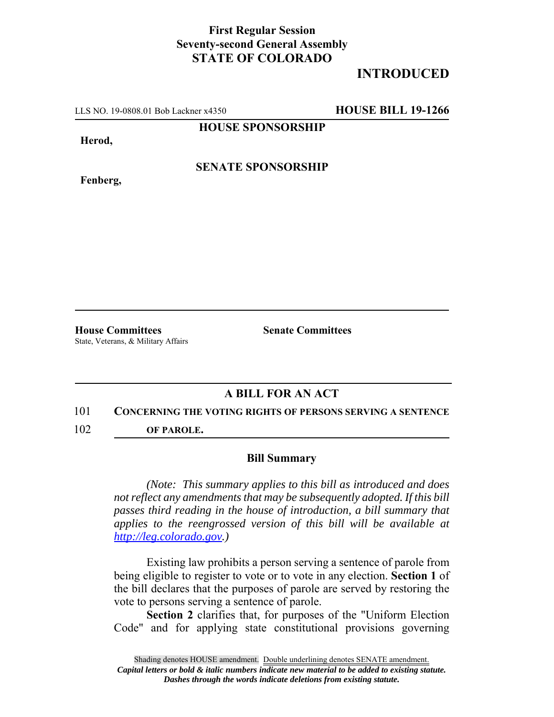## **First Regular Session Seventy-second General Assembly STATE OF COLORADO**

# **INTRODUCED**

LLS NO. 19-0808.01 Bob Lackner x4350 **HOUSE BILL 19-1266**

**HOUSE SPONSORSHIP**

**Herod,**

**Fenberg,**

**SENATE SPONSORSHIP**

**House Committees Senate Committees** State, Veterans, & Military Affairs

### **A BILL FOR AN ACT**

#### 101 **CONCERNING THE VOTING RIGHTS OF PERSONS SERVING A SENTENCE**

102 **OF PAROLE.**

#### **Bill Summary**

*(Note: This summary applies to this bill as introduced and does not reflect any amendments that may be subsequently adopted. If this bill passes third reading in the house of introduction, a bill summary that applies to the reengrossed version of this bill will be available at http://leg.colorado.gov.)*

Existing law prohibits a person serving a sentence of parole from being eligible to register to vote or to vote in any election. **Section 1** of the bill declares that the purposes of parole are served by restoring the vote to persons serving a sentence of parole.

**Section 2** clarifies that, for purposes of the "Uniform Election Code" and for applying state constitutional provisions governing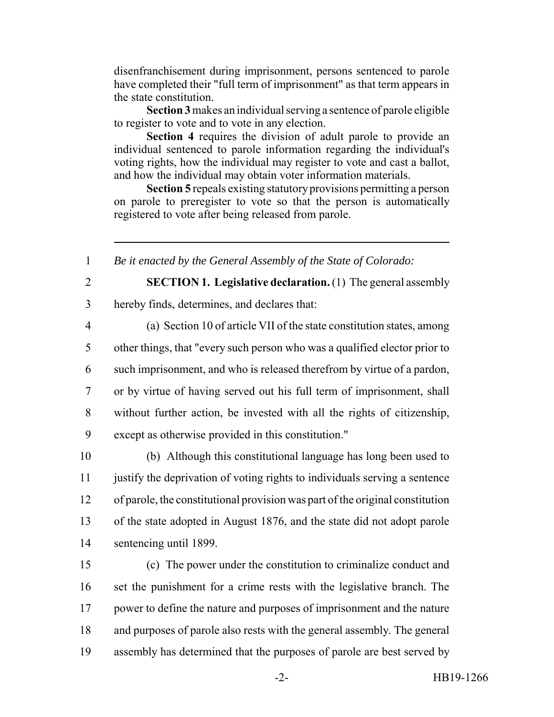disenfranchisement during imprisonment, persons sentenced to parole have completed their "full term of imprisonment" as that term appears in the state constitution.

**Section 3** makes an individual serving a sentence of parole eligible to register to vote and to vote in any election.

**Section 4** requires the division of adult parole to provide an individual sentenced to parole information regarding the individual's voting rights, how the individual may register to vote and cast a ballot, and how the individual may obtain voter information materials.

**Section 5** repeals existing statutory provisions permitting a person on parole to preregister to vote so that the person is automatically registered to vote after being released from parole.

1 *Be it enacted by the General Assembly of the State of Colorado:*

2 **SECTION 1. Legislative declaration.** (1) The general assembly 3 hereby finds, determines, and declares that:

 (a) Section 10 of article VII of the state constitution states, among other things, that "every such person who was a qualified elector prior to such imprisonment, and who is released therefrom by virtue of a pardon, or by virtue of having served out his full term of imprisonment, shall without further action, be invested with all the rights of citizenship, except as otherwise provided in this constitution."

 (b) Although this constitutional language has long been used to justify the deprivation of voting rights to individuals serving a sentence of parole, the constitutional provision was part of the original constitution of the state adopted in August 1876, and the state did not adopt parole sentencing until 1899.

 (c) The power under the constitution to criminalize conduct and set the punishment for a crime rests with the legislative branch. The power to define the nature and purposes of imprisonment and the nature and purposes of parole also rests with the general assembly. The general assembly has determined that the purposes of parole are best served by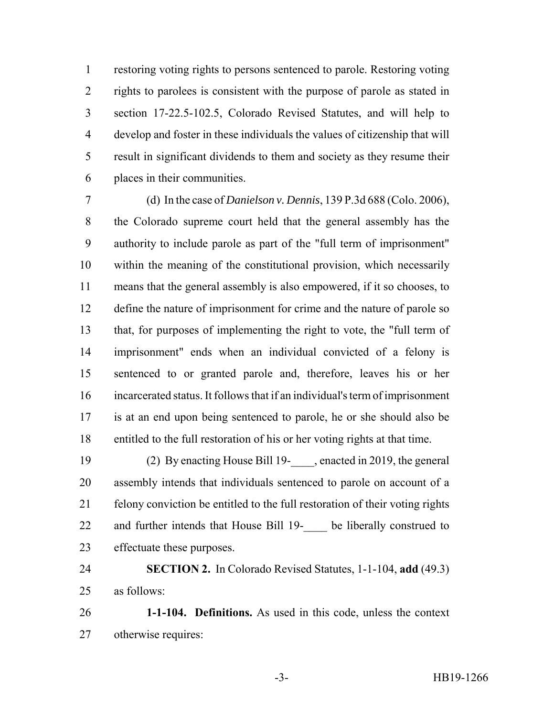restoring voting rights to persons sentenced to parole. Restoring voting rights to parolees is consistent with the purpose of parole as stated in section 17-22.5-102.5, Colorado Revised Statutes, and will help to develop and foster in these individuals the values of citizenship that will result in significant dividends to them and society as they resume their places in their communities.

 (d) In the case of *Danielson v. Dennis*, 139 P.3d 688 (Colo. 2006), the Colorado supreme court held that the general assembly has the authority to include parole as part of the "full term of imprisonment" within the meaning of the constitutional provision, which necessarily means that the general assembly is also empowered, if it so chooses, to 12 define the nature of imprisonment for crime and the nature of parole so that, for purposes of implementing the right to vote, the "full term of imprisonment" ends when an individual convicted of a felony is sentenced to or granted parole and, therefore, leaves his or her incarcerated status. It follows that if an individual's term of imprisonment is at an end upon being sentenced to parole, he or she should also be entitled to the full restoration of his or her voting rights at that time.

 (2) By enacting House Bill 19-\_\_\_\_, enacted in 2019, the general assembly intends that individuals sentenced to parole on account of a felony conviction be entitled to the full restoration of their voting rights 22 and further intends that House Bill 19- be liberally construed to effectuate these purposes.

 **SECTION 2.** In Colorado Revised Statutes, 1-1-104, **add** (49.3) as follows:

 **1-1-104. Definitions.** As used in this code, unless the context otherwise requires: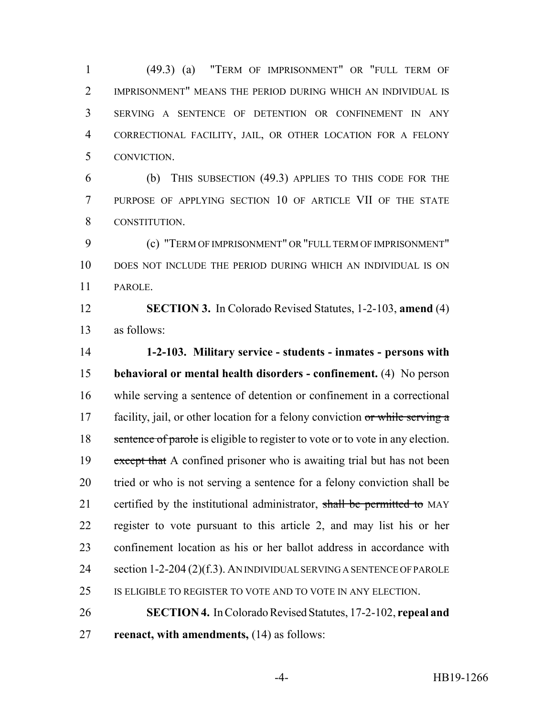(49.3) (a) "TERM OF IMPRISONMENT" OR "FULL TERM OF IMPRISONMENT" MEANS THE PERIOD DURING WHICH AN INDIVIDUAL IS SERVING A SENTENCE OF DETENTION OR CONFINEMENT IN ANY CORRECTIONAL FACILITY, JAIL, OR OTHER LOCATION FOR A FELONY CONVICTION.

 (b) THIS SUBSECTION (49.3) APPLIES TO THIS CODE FOR THE PURPOSE OF APPLYING SECTION 10 OF ARTICLE VII OF THE STATE CONSTITUTION.

 (c) "TERM OF IMPRISONMENT" OR "FULL TERM OF IMPRISONMENT" DOES NOT INCLUDE THE PERIOD DURING WHICH AN INDIVIDUAL IS ON PAROLE.

 **SECTION 3.** In Colorado Revised Statutes, 1-2-103, **amend** (4) as follows:

 **1-2-103. Military service - students - inmates - persons with behavioral or mental health disorders - confinement.** (4) No person while serving a sentence of detention or confinement in a correctional 17 facility, jail, or other location for a felony conviction or while serving a 18 sentence of parole is eligible to register to vote or to vote in any election. 19 except that A confined prisoner who is awaiting trial but has not been tried or who is not serving a sentence for a felony conviction shall be 21 certified by the institutional administrator, shall be permitted to MAY register to vote pursuant to this article 2, and may list his or her confinement location as his or her ballot address in accordance with 24 section 1-2-204 (2)(f.3). AN INDIVIDUAL SERVING A SENTENCE OF PAROLE IS ELIGIBLE TO REGISTER TO VOTE AND TO VOTE IN ANY ELECTION.

 **SECTION 4.** In Colorado Revised Statutes, 17-2-102, **repeal and reenact, with amendments,** (14) as follows: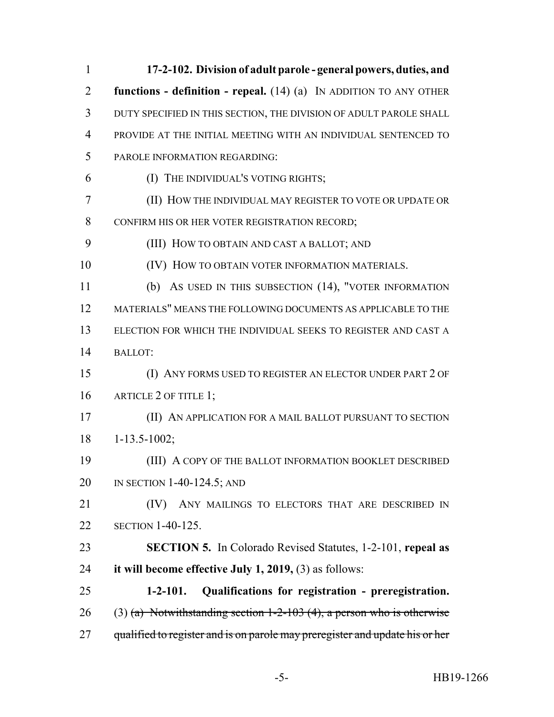| $\mathbf{1}$   | 17-2-102. Division of adult parole - general powers, duties, and             |
|----------------|------------------------------------------------------------------------------|
| $\overline{2}$ | functions - definition - repeal. $(14)$ (a) IN ADDITION TO ANY OTHER         |
| 3              | DUTY SPECIFIED IN THIS SECTION, THE DIVISION OF ADULT PAROLE SHALL           |
| $\overline{4}$ | PROVIDE AT THE INITIAL MEETING WITH AN INDIVIDUAL SENTENCED TO               |
| 5              | PAROLE INFORMATION REGARDING:                                                |
| 6              | (I) THE INDIVIDUAL'S VOTING RIGHTS;                                          |
| $\overline{7}$ | (II) HOW THE INDIVIDUAL MAY REGISTER TO VOTE OR UPDATE OR                    |
| 8              | CONFIRM HIS OR HER VOTER REGISTRATION RECORD;                                |
| 9              | (III) HOW TO OBTAIN AND CAST A BALLOT; AND                                   |
| 10             | (IV) HOW TO OBTAIN VOTER INFORMATION MATERIALS.                              |
| 11             | (b) AS USED IN THIS SUBSECTION (14), "VOTER INFORMATION                      |
| 12             | MATERIALS" MEANS THE FOLLOWING DOCUMENTS AS APPLICABLE TO THE                |
| 13             | ELECTION FOR WHICH THE INDIVIDUAL SEEKS TO REGISTER AND CAST A               |
| 14             | <b>BALLOT:</b>                                                               |
| 15             | (I) ANY FORMS USED TO REGISTER AN ELECTOR UNDER PART 2 OF                    |
| 16             | ARTICLE 2 OF TITLE 1;                                                        |
| 17             | (II) AN APPLICATION FOR A MAIL BALLOT PURSUANT TO SECTION                    |
| 18             | $1 - 13.5 - 1002$ ;                                                          |
| 19             | (III) A COPY OF THE BALLOT INFORMATION BOOKLET DESCRIBED                     |
| 20             | IN SECTION $1-40-124.5$ ; AND                                                |
| 21             | ANY MAILINGS TO ELECTORS THAT ARE DESCRIBED IN<br>(IV)                       |
| 22             | <b>SECTION 1-40-125.</b>                                                     |
| 23             | <b>SECTION 5.</b> In Colorado Revised Statutes, 1-2-101, repeal as           |
| 24             | it will become effective July 1, 2019, $(3)$ as follows:                     |
| 25             | $1-2-101.$<br>Qualifications for registration - preregistration.             |
| 26             | $(3)$ (a) Notwithstanding section 1-2-103 (4), a person who is otherwise     |
| 27             | qualified to register and is on parole may preregister and update his or her |